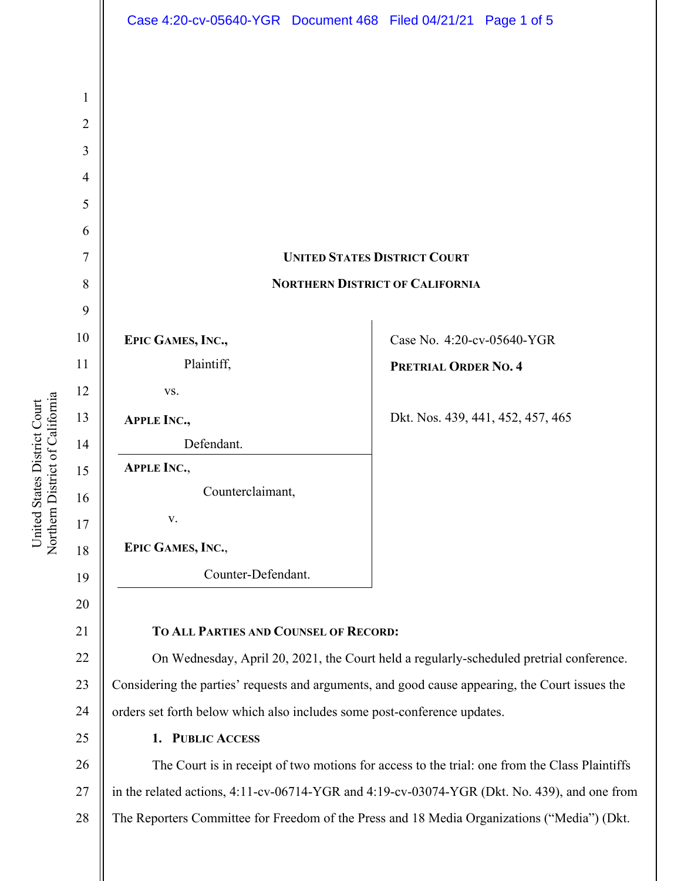

a United States District Court United States District Court Northern District of Californi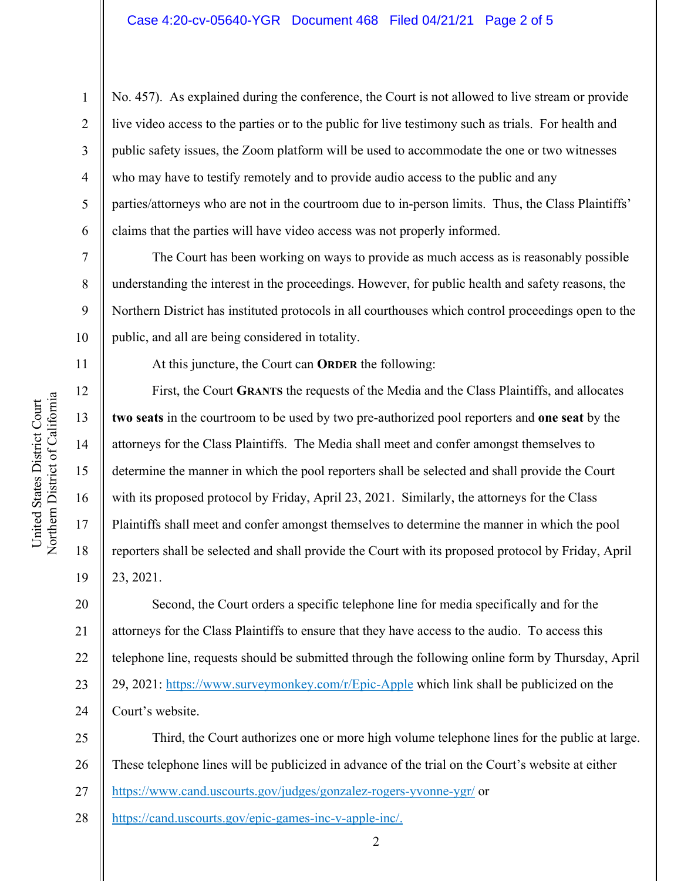No. 457). As explained during the conference, the Court is not allowed to live stream or provide live video access to the parties or to the public for live testimony such as trials. For health and public safety issues, the Zoom platform will be used to accommodate the one or two witnesses who may have to testify remotely and to provide audio access to the public and any parties/attorneys who are not in the courtroom due to in-person limits. Thus, the Class Plaintiffs' claims that the parties will have video access was not properly informed.

The Court has been working on ways to provide as much access as is reasonably possible understanding the interest in the proceedings. However, for public health and safety reasons, the Northern District has instituted protocols in all courthouses which control proceedings open to the public, and all are being considered in totality.

11

1

2

3

4

5

6

7

8

9

10

12

13

14

15

16

17

18

19

At this juncture, the Court can **ORDER** the following:

First, the Court **GRANTS** the requests of the Media and the Class Plaintiffs, and allocates **two seats** in the courtroom to be used by two pre-authorized pool reporters and **one seat** by the attorneys for the Class Plaintiffs. The Media shall meet and confer amongst themselves to determine the manner in which the pool reporters shall be selected and shall provide the Court with its proposed protocol by Friday, April 23, 2021. Similarly, the attorneys for the Class Plaintiffs shall meet and confer amongst themselves to determine the manner in which the pool reporters shall be selected and shall provide the Court with its proposed protocol by Friday, April 23, 2021.

20 21 22 23 24 Second, the Court orders a specific telephone line for media specifically and for the attorneys for the Class Plaintiffs to ensure that they have access to the audio. To access this telephone line, requests should be submitted through the following online form by Thursday, April 29, 2021: https://www.surveymonkey.com/r/Epic-Apple which link shall be publicized on the Court's website.

25 26 27 Third, the Court authorizes one or more high volume telephone lines for the public at large. These telephone lines will be publicized in advance of the trial on the Court's website at either https://www.cand.uscourts.gov/judges/gonzalez-rogers-yvonne-ygr/ or

28 https://cand.uscourts.gov/epic-games-inc-v-apple-inc/.

a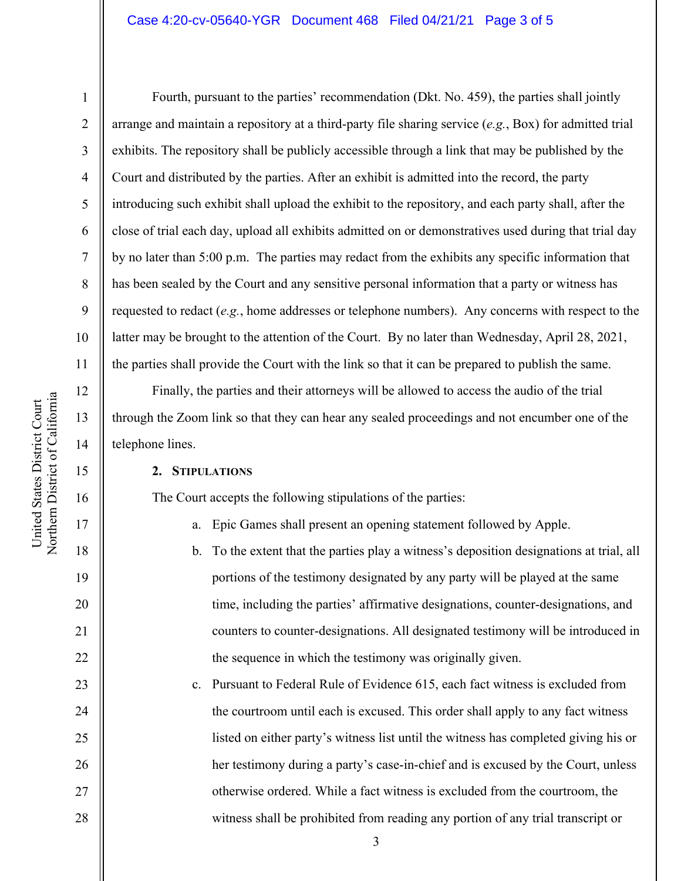#### Case 4:20-cv-05640-YGR Document 468 Filed 04/21/21 Page 3 of 5

1

2

3

4

5

6

7

8

9

10

11

12

13

14

15

16

17

18

19

20

21

22

23

24

25

26

27

28

Fourth, pursuant to the parties' recommendation (Dkt. No. 459), the parties shall jointly arrange and maintain a repository at a third-party file sharing service (*e.g.*, Box) for admitted trial exhibits. The repository shall be publicly accessible through a link that may be published by the Court and distributed by the parties. After an exhibit is admitted into the record, the party introducing such exhibit shall upload the exhibit to the repository, and each party shall, after the close of trial each day, upload all exhibits admitted on or demonstratives used during that trial day by no later than 5:00 p.m. The parties may redact from the exhibits any specific information that has been sealed by the Court and any sensitive personal information that a party or witness has requested to redact (*e.g.*, home addresses or telephone numbers). Any concerns with respect to the latter may be brought to the attention of the Court. By no later than Wednesday, April 28, 2021, the parties shall provide the Court with the link so that it can be prepared to publish the same.

Finally, the parties and their attorneys will be allowed to access the audio of the trial through the Zoom link so that they can hear any sealed proceedings and not encumber one of the telephone lines.

#### **2. STIPULATIONS**

The Court accepts the following stipulations of the parties:

a. Epic Games shall present an opening statement followed by Apple.

- b. To the extent that the parties play a witness's deposition designations at trial, all portions of the testimony designated by any party will be played at the same time, including the parties' affirmative designations, counter-designations, and counters to counter-designations. All designated testimony will be introduced in the sequence in which the testimony was originally given.
- c. Pursuant to Federal Rule of Evidence 615, each fact witness is excluded from the courtroom until each is excused. This order shall apply to any fact witness listed on either party's witness list until the witness has completed giving his or her testimony during a party's case-in-chief and is excused by the Court, unless otherwise ordered. While a fact witness is excluded from the courtroom, the witness shall be prohibited from reading any portion of any trial transcript or

3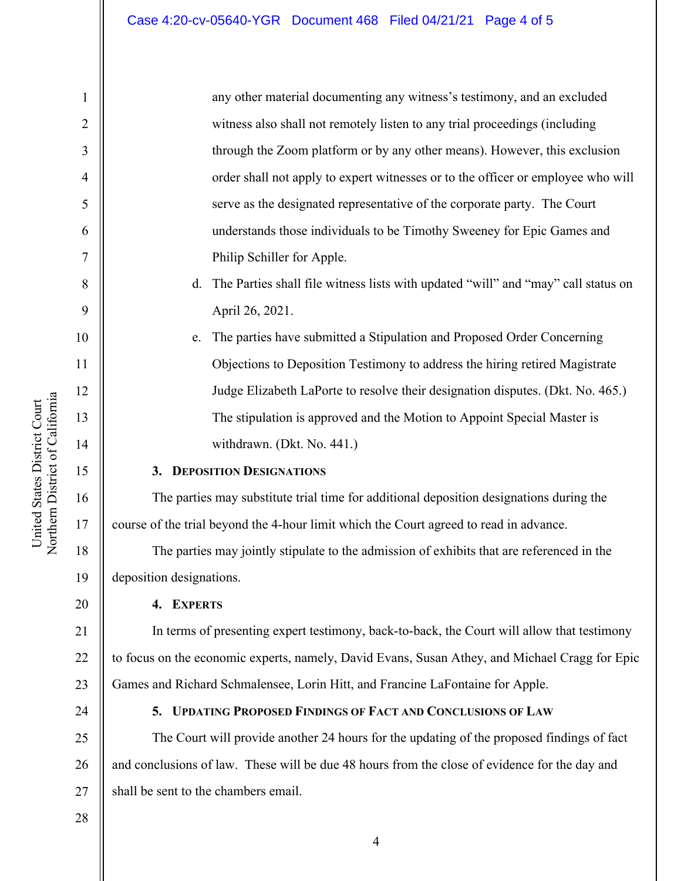any other material documenting any witness's testimony, and an excluded witness also shall not remotely listen to any trial proceedings (including through the Zoom platform or by any other means). However, this exclusion order shall not apply to expert witnesses or to the officer or employee who will serve as the designated representative of the corporate party. The Court understands those individuals to be Timothy Sweeney for Epic Games and Philip Schiller for Apple.

d. The Parties shall file witness lists with updated "will" and "may" call status on April 26, 2021.

e. The parties have submitted a Stipulation and Proposed Order Concerning Objections to Deposition Testimony to address the hiring retired Magistrate Judge Elizabeth LaPorte to resolve their designation disputes. (Dkt. No. 465.) The stipulation is approved and the Motion to Appoint Special Master is withdrawn. (Dkt. No. 441.)

# **3. DEPOSITION DESIGNATIONS**

The parties may substitute trial time for additional deposition designations during the course of the trial beyond the 4-hour limit which the Court agreed to read in advance.

The parties may jointly stipulate to the admission of exhibits that are referenced in the deposition designations.

# **4. EXPERTS**

21 22 23 In terms of presenting expert testimony, back-to-back, the Court will allow that testimony to focus on the economic experts, namely, David Evans, Susan Athey, and Michael Cragg for Epic Games and Richard Schmalensee, Lorin Hitt, and Francine LaFontaine for Apple.

24

# **5. UPDATING PROPOSED FINDINGS OF FACT AND CONCLUSIONS OF LAW**

25 26 27 The Court will provide another 24 hours for the updating of the proposed findings of fact and conclusions of law. These will be due 48 hours from the close of evidence for the day and shall be sent to the chambers email.

28

a United States District Court United States District Court Northern District of Californi

1

2

3

4

5

6

7

8

9

10

11

12

13

14

15

16

17

18

19

20